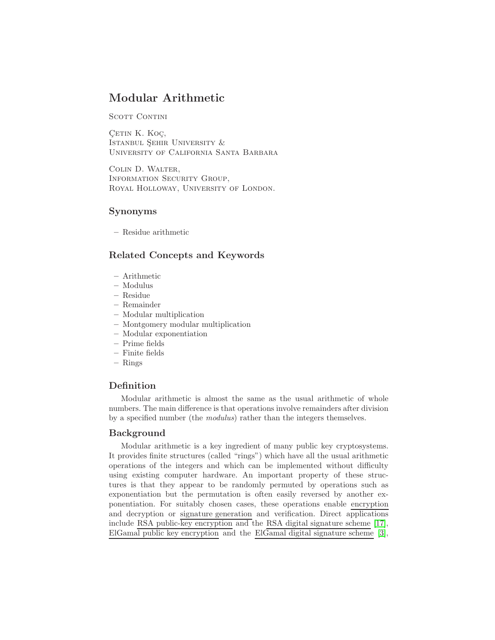# Modular Arithmetic

SCOTT CONTINI

CETIN K. KOÇ, ISTANBUL SEHIR UNIVERSITY  $&$ University of California Santa Barbara

Colin D. Walter, Information Security Group, Royal Holloway, University of London.

# Synonyms

– Residue arithmetic

# Related Concepts and Keywords

- Arithmetic
- Modulus
- Residue
- Remainder
- Modular multiplication
- Montgomery modular multiplication
- Modular exponentiation
- Prime fields
- Finite fields
- Rings

# Definition

Modular arithmetic is almost the same as the usual arithmetic of whole numbers. The main difference is that operations involve remainders after division by a specified number (the modulus) rather than the integers themselves.

# Background

Modular arithmetic is a key ingredient of many public key cryptosystems. It provides finite structures (called "rings") which have all the usual arithmetic operations of the integers and which can be implemented without difficulty using existing computer hardware. An important property of these structures is that they appear to be randomly permuted by operations such as exponentiation but the permutation is often easily reversed by another exponentiation. For suitably chosen cases, these operations enable encryption and decryption or signature generation and verification. Direct applications include RSA public-key encryption and the RSA digital signature scheme [\[17\]](#page-6-0), ElGamal public key encryption and the ElGamal digital signature scheme [\[3\]](#page-5-0),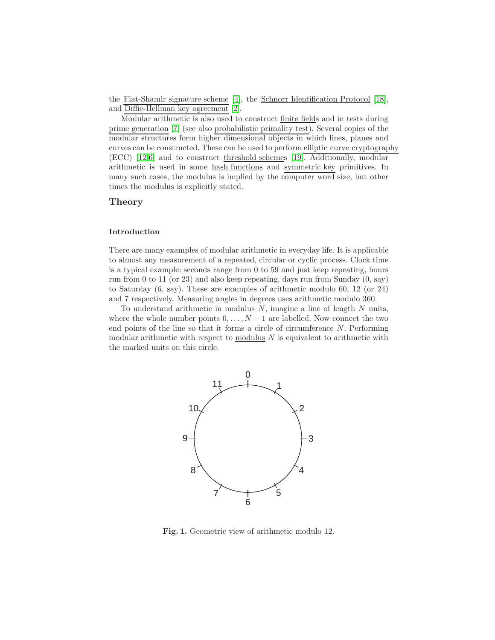the Fiat-Shamir signature scheme [\[4\]](#page-5-1), the Schnorr Identification Protocol [\[18\]](#page-6-1), and Diffie-Hellman key agreement [\[2\]](#page-5-2).

Modular arithmetic is also used to construct finite fields and in tests during prime generation [\[7\]](#page-6-2) (see also probabilistic primality test). Several copies of the modular structures form higher dimensional objects in which lines, planes and curves can be constructed. These can be used to perform elliptic curve cryptography (ECC) [\[12](#page-6-3)[,6\]](#page-5-3) and to construct threshold schemes [\[19\]](#page-6-4). Additionally, modular arithmetic is used in some hash functions and symmetric key primitives. In many such cases, the modulus is implied by the computer word size, but other times the modulus is explicitly stated.

## Theory

#### Introduction

There are many examples of modular arithmetic in everyday life. It is applicable to almost any measurement of a repeated, circular or cyclic process. Clock time is a typical example: seconds range from 0 to 59 and just keep repeating, hours run from 0 to 11 (or 23) and also keep repeating, days run from Sunday (0, say) to Saturday (6, say). These are examples of arithmetic modulo 60, 12 (or 24) and 7 respectively. Measuring angles in degrees uses arithmetic modulo 360.

To understand arithmetic in modulus  $N$ , imagine a line of length  $N$  units, where the whole number points  $0, \ldots, N-1$  are labelled. Now connect the two end points of the line so that it forms a circle of circumference  $N$ . Performing modular arithmetic with respect to  $modulus N$  is equivalent to arithmetic with the marked units on this circle.



<span id="page-1-0"></span>Fig. 1. Geometric view of arithmetic modulo 12.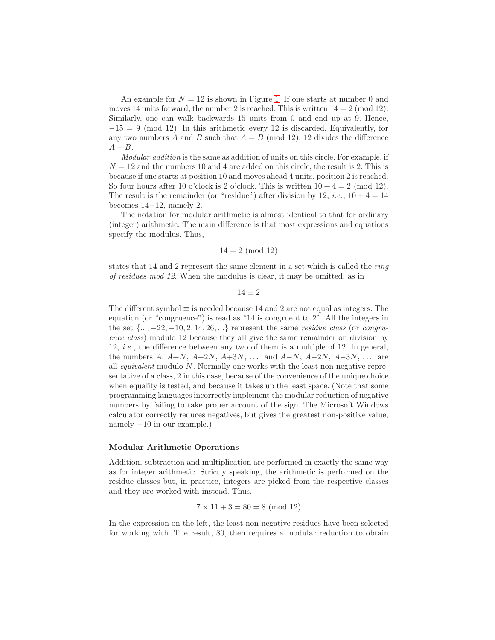An example for  $N = 12$  is shown in Figure [1.](#page-1-0) If one starts at number 0 and moves 14 units forward, the number 2 is reached. This is written  $14 = 2 \pmod{12}$ . Similarly, one can walk backwards 15 units from 0 and end up at 9. Hence,  $-15 = 9 \pmod{12}$ . In this arithmetic every 12 is discarded. Equivalently, for any two numbers A and B such that  $A = B \pmod{12}$ , 12 divides the difference  $A - B$ 

Modular addition is the same as addition of units on this circle. For example, if  $N = 12$  and the numbers 10 and 4 are added on this circle, the result is 2. This is because if one starts at position 10 and moves ahead 4 units, position 2 is reached. So four hours after 10 o'clock is 2 o'clock. This is written  $10 + 4 = 2 \pmod{12}$ . The result is the remainder (or "residue") after division by 12, *i.e.*,  $10 + 4 = 14$ becomes 14−12, namely 2.

The notation for modular arithmetic is almost identical to that for ordinary (integer) arithmetic. The main difference is that most expressions and equations specify the modulus. Thus,

#### $14 = 2 \pmod{12}$

states that 14 and 2 represent the same element in a set which is called the ring of residues mod 12. When the modulus is clear, it may be omitted, as in

## $14 \equiv 2$

The different symbol  $\equiv$  is needed because 14 and 2 are not equal as integers. The equation (or "congruence") is read as "14 is congruent to 2". All the integers in the set  $\{..., -22, -10, 2, 14, 26, ...\}$  represent the same *residue class* (or *congru*ence class) modulo 12 because they all give the same remainder on division by 12, i.e., the difference between any two of them is a multiple of 12. In general, the numbers A,  $A+N$ ,  $A+2N$ ,  $A+3N$ , ... and  $A-N$ ,  $A-2N$ ,  $A-3N$ , ... are all equivalent modulo N. Normally one works with the least non-negative representative of a class, 2 in this case, because of the convenience of the unique choice when equality is tested, and because it takes up the least space. (Note that some programming languages incorrectly implement the modular reduction of negative numbers by failing to take proper account of the sign. The Microsoft Windows calculator correctly reduces negatives, but gives the greatest non-positive value, namely  $-10$  in our example.)

#### Modular Arithmetic Operations

Addition, subtraction and multiplication are performed in exactly the same way as for integer arithmetic. Strictly speaking, the arithmetic is performed on the residue classes but, in practice, integers are picked from the respective classes and they are worked with instead. Thus,

$$
7 \times 11 + 3 = 80 = 8 \pmod{12}
$$

In the expression on the left, the least non-negative residues have been selected for working with. The result, 80, then requires a modular reduction to obtain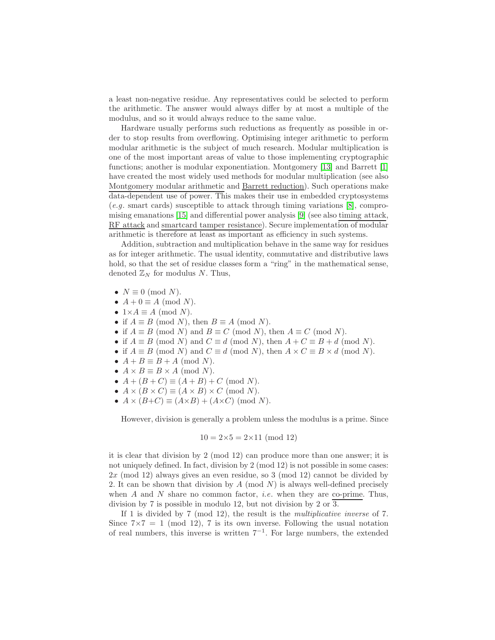a least non-negative residue. Any representatives could be selected to perform the arithmetic. The answer would always differ by at most a multiple of the modulus, and so it would always reduce to the same value.

Hardware usually performs such reductions as frequently as possible in order to stop results from overflowing. Optimising integer arithmetic to perform modular arithmetic is the subject of much research. Modular multiplication is one of the most important areas of value to those implementing cryptographic functions; another is modular exponentiation. Montgomery [\[13\]](#page-6-5) and Barrett [\[1\]](#page-5-4) have created the most widely used methods for modular multiplication (see also Montgomery modular arithmetic and Barrett reduction). Such operations make data-dependent use of power. This makes their use in embedded cryptosystems (e.g. smart cards) susceptible to attack through timing variations [\[8\]](#page-6-6), compromising emanations [\[15\]](#page-6-7) and differential power analysis [\[9\]](#page-6-8) (see also timing attack, RF attack and smartcard tamper resistance). Secure implementation of modular arithmetic is therefore at least as important as efficiency in such systems.

Addition, subtraction and multiplication behave in the same way for residues as for integer arithmetic. The usual identity, commutative and distributive laws hold, so that the set of residue classes form a "ring" in the mathematical sense, denoted  $\mathbb{Z}_N$  for modulus N. Thus,

- $N \equiv 0 \pmod{N}$ .
- $A + 0 \equiv A \pmod{N}$ .
- $1\times A \equiv A \pmod{N}$ .
- if  $A \equiv B \pmod{N}$ , then  $B \equiv A \pmod{N}$ .
- if  $A \equiv B \pmod{N}$  and  $B \equiv C \pmod{N}$ , then  $A \equiv C \pmod{N}$ .
- if  $A \equiv B \pmod{N}$  and  $C \equiv d \pmod{N}$ , then  $A + C \equiv B + d \pmod{N}$ .
- if  $A \equiv B \pmod{N}$  and  $C \equiv d \pmod{N}$ , then  $A \times C \equiv B \times d \pmod{N}$ .
- $A + B \equiv B + A \pmod{N}$ .
- $A \times B \equiv B \times A \pmod{N}$ .
- $A + (B + C) \equiv (A + B) + C \pmod{N}$ .
- $A \times (B \times C) \equiv (A \times B) \times C \pmod{N}$ .
- $A \times (B+C) \equiv (A \times B) + (A \times C) \pmod{N}$ .

However, division is generally a problem unless the modulus is a prime. Since

$$
10 = 2 \times 5 = 2 \times 11 \pmod{12}
$$

it is clear that division by 2 (mod 12) can produce more than one answer; it is not uniquely defined. In fact, division by 2 (mod 12) is not possible in some cases: 2x (mod 12) always gives an even residue, so 3 (mod 12) cannot be divided by 2. It can be shown that division by  $A \pmod{N}$  is always well-defined precisely when A and N share no common factor, *i.e.* when they are co-prime. Thus, division by 7 is possible in modulo 12, but not division by 2 or 3.

If 1 is divided by 7 (mod 12), the result is the multiplicative inverse of 7. Since  $7 \times 7 = 1 \pmod{12}$ , 7 is its own inverse. Following the usual notation of real numbers, this inverse is written 7<sup>−</sup><sup>1</sup> . For large numbers, the extended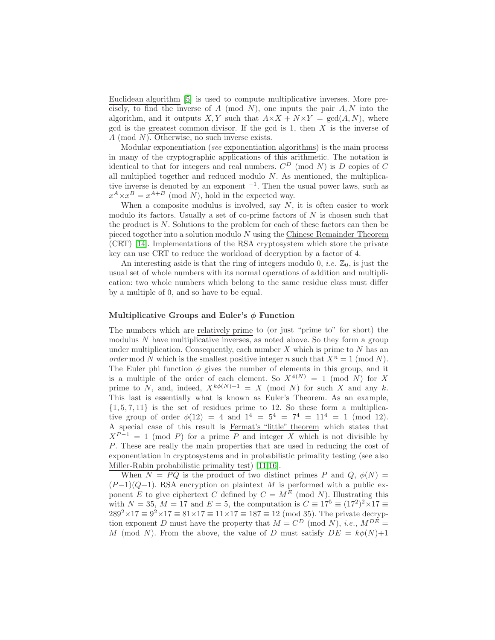Euclidean algorithm [\[5\]](#page-5-5) is used to compute multiplicative inverses. More precisely, to find the inverse of A (mod N), one inputs the pair  $A, N$  into the algorithm, and it outputs X, Y such that  $A \times X + N \times Y = \text{gcd}(A, N)$ , where gcd is the greatest common divisor. If the gcd is  $1$ , then  $X$  is the inverse of A (mod N). Otherwise, no such inverse exists.

Modular exponentiation (see exponentiation algorithms) is the main process in many of the cryptographic applications of this arithmetic. The notation is identical to that for integers and real numbers.  $C^D$  (mod N) is D copies of C all multiplied together and reduced modulo  $N$ . As mentioned, the multiplicative inverse is denoted by an exponent <sup>−</sup><sup>1</sup> . Then the usual power laws, such as  $x^A \times x^B = x^{A+B} \pmod{N}$ , hold in the expected way.

When a composite modulus is involved, say  $N$ , it is often easier to work modulo its factors. Usually a set of co-prime factors of  $N$  is chosen such that the product is  $N$ . Solutions to the problem for each of these factors can then be pieced together into a solution modulo N using the Chinese Remainder Theorem (CRT) [\[14\]](#page-6-9). Implementations of the RSA cryptosystem which store the private key can use CRT to reduce the workload of decryption by a factor of 4.

An interesting aside is that the ring of integers modulo 0, *i.e.*  $\mathbb{Z}_0$ , is just the usual set of whole numbers with its normal operations of addition and multiplication: two whole numbers which belong to the same residue class must differ by a multiple of 0, and so have to be equal.

#### Multiplicative Groups and Euler's  $\phi$  Function

The numbers which are relatively prime to (or just "prime to" for short) the modulus  $N$  have multiplicative inverses, as noted above. So they form a group under multiplication. Consequently, each number  $X$  which is prime to  $N$  has an order mod N which is the smallest positive integer n such that  $X^n = 1 \pmod{N}$ . The Euler phi function  $\phi$  gives the number of elements in this group, and it is a multiple of the order of each element. So  $X^{\phi(N)} = 1 \pmod{N}$  for X prime to N, and, indeed,  $X^{k\phi(N)+1} = X \pmod{N}$  for such X and any k. This last is essentially what is known as Euler's Theorem. As an example,  $\{1, 5, 7, 11\}$  is the set of residues prime to 12. So these form a multiplicative group of order  $\phi(12) = 4$  and  $1^4 = 5^4 = 7^4 = 11^4 = 1 \pmod{12}$ . A special case of this result is Fermat's "little" theorem which states that  $X^{P-1} = 1 \pmod{P}$  for a prime P and integer X which is not divisible by P. These are really the main properties that are used in reducing the cost of exponentiation in cryptosystems and in probabilistic primality testing (see also Miller-Rabin probabilistic primality test) [\[11](#page-6-10)[,16\]](#page-6-11).

When  $N = PQ$  is the product of two distinct primes P and Q,  $\phi(N) =$  $(P-1)(Q-1)$ . RSA encryption on plaintext M is performed with a public exponent E to give ciphertext C defined by  $C = M^E$  (mod N). Illustrating this with  $N = 35$ ,  $M = 17$  and  $E = 5$ , the computation is  $C \equiv 17^5 \equiv (17^2)^2 \times 17 \equiv$  $289^2 \times 17 \equiv 9^2 \times 17 \equiv 81 \times 17 \equiv 11 \times 17 \equiv 187 \equiv 12 \pmod{35}$ . The private decryption exponent D must have the property that  $M = C^D$  (mod N), *i.e.*,  $M^{DE} =$ M (mod N). From the above, the value of D must satisfy  $DE = k\phi(N)+1$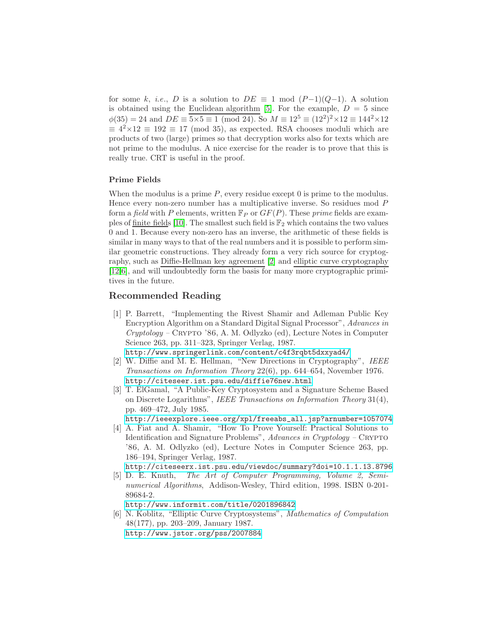for some k, i.e., D is a solution to  $DE \equiv 1 \mod (P-1)(Q-1)$ . A solution is obtained using the Euclidean algorithm [\[5\]](#page-5-5). For the example,  $D = 5$  since  $\phi(35) = 24$  and  $DE \equiv 5 \times 5 \equiv 1 \pmod{24}$ . So  $M \equiv 12^5 \equiv (12^2)^2 \times 12 \equiv 144^2 \times 12$  $\equiv 4^2 \times 12 \equiv 192 \equiv 17 \pmod{35}$ , as expected. RSA chooses moduli which are products of two (large) primes so that decryption works also for texts which are not prime to the modulus. A nice exercise for the reader is to prove that this is really true. CRT is useful in the proof.

## Prime Fields

When the modulus is a prime  $P$ , every residue except 0 is prime to the modulus. Hence every non-zero number has a multiplicative inverse. So residues mod P form a field with P elements, written  $\mathbb{F}_P$  or  $GF(P)$ . These prime fields are exam-ples of finite fields [\[10\]](#page-6-12). The smallest such field is  $\mathbb{F}_2$  which contains the two values 0 and 1. Because every non-zero has an inverse, the arithmetic of these fields is similar in many ways to that of the real numbers and it is possible to perform similar geometric constructions. They already form a very rich source for cryptography, such as Diffie-Hellman key agreement [\[2\]](#page-5-2) and elliptic curve cryptography [\[12](#page-6-3)[,6\]](#page-5-3), and will undoubtedly form the basis for many more cryptographic primitives in the future.

# Recommended Reading

- <span id="page-5-4"></span>[1] P. Barrett, "Implementing the Rivest Shamir and Adleman Public Key Encryption Algorithm on a Standard Digital Signal Processor", Advances in  $Cryptology - CRYPTO '86, A. M. Odlyzko (ed), Lecture Notes in Computer$ Science 263, pp. 311–323, Springer Verlag, 1987.
	- <http://www.springerlink.com/content/c4f3rqbt5dxxyad4/>
- <span id="page-5-2"></span>[2] W. Diffie and M. E. Hellman, "New Directions in Cryptography", IEEE Transactions on Information Theory 22(6), pp. 644–654, November 1976. <http://citeseer.ist.psu.edu/diffie76new.html>
- <span id="page-5-0"></span>[3] T. ElGamal, "A Public-Key Cryptosystem and a Signature Scheme Based on Discrete Logarithms", IEEE Transactions on Information Theory 31(4), pp. 469–472, July 1985.
	- [http://ieeexplore.ieee.org/xpl/freeabs\\_all.jsp?arnumber=1057074](http://ieeexplore.ieee.org/xpl/freeabs_all.jsp?arnumber=1057074)
- <span id="page-5-1"></span>[4] A. Fiat and A. Shamir, "How To Prove Yourself: Practical Solutions to Identification and Signature Problems",  $Advances$  in Cryptology – CRYPTO '86, A. M. Odlyzko (ed), Lecture Notes in Computer Science 263, pp. 186–194, Springer Verlag, 1987.
	- <http://citeseerx.ist.psu.edu/viewdoc/summary?doi=10.1.1.13.8796>
- <span id="page-5-5"></span>[5] D. E. Knuth, The Art of Computer Programming, Volume 2, Seminumerical Algorithms, Addison-Wesley, Third edition, 1998. ISBN 0-201-89684-2.

<http://www.informit.com/title/0201896842>

<span id="page-5-3"></span>[6] N. Koblitz, "Elliptic Curve Cryptosystems", Mathematics of Computation 48(177), pp. 203–209, January 1987. <http://www.jstor.org/pss/2007884>